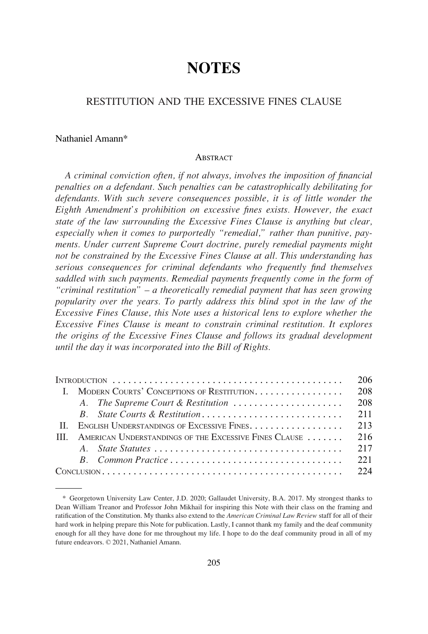# **NOTES**

## RESTITUTION AND THE EXCESSIVE FINES CLAUSE

## Nathaniel Amann\*

#### **ABSTRACT**

*A criminal conviction often, if not always, involves the imposition of financial penalties on a defendant. Such penalties can be catastrophically debilitating for defendants. With such severe consequences possible, it is of little wonder the Eighth Amendment's prohibition on excessive fines exists. However, the exact state of the law surrounding the Excessive Fines Clause is anything but clear, especially when it comes to purportedly "remedial," rather than punitive, payments. Under current Supreme Court doctrine, purely remedial payments might not be constrained by the Excessive Fines Clause at all. This understanding has serious consequences for criminal defendants who frequently find themselves saddled with such payments. Remedial payments frequently come in the form of "criminal restitution" – a theoretically remedial payment that has seen growing popularity over the years. To partly address this blind spot in the law of the Excessive Fines Clause, this Note uses a historical lens to explore whether the Excessive Fines Clause is meant to constrain criminal restitution. It explores the origins of the Excessive Fines Clause and follows its gradual development until the day it was incorporated into the Bill of Rights.* 

|      |                                                       |                                    | 206  |
|------|-------------------------------------------------------|------------------------------------|------|
|      | I. MODERN COURTS' CONCEPTIONS OF RESTITUTION.         |                                    | 208  |
|      |                                                       | A. The Supreme Court & Restitution | 208  |
|      |                                                       |                                    | 211  |
|      | II. ENGLISH UNDERSTANDINGS OF EXCESSIVE FINES.        |                                    | 213  |
| HH - | AMERICAN UNDERSTANDINGS OF THE EXCESSIVE FINES CLAUSE |                                    | 216  |
|      |                                                       |                                    | 217  |
|      |                                                       |                                    | 22.1 |
|      |                                                       |                                    |      |

<sup>\*</sup> Georgetown University Law Center, J.D. 2020; Gallaudet University, B.A. 2017. My strongest thanks to Dean William Treanor and Professor John Mikhail for inspiring this Note with their class on the framing and ratification of the Constitution. My thanks also extend to the *American Criminal Law Review* staff for all of their hard work in helping prepare this Note for publication. Lastly, I cannot thank my family and the deaf community enough for all they have done for me throughout my life. I hope to do the deaf community proud in all of my future endeavors. © 2021, Nathaniel Amann.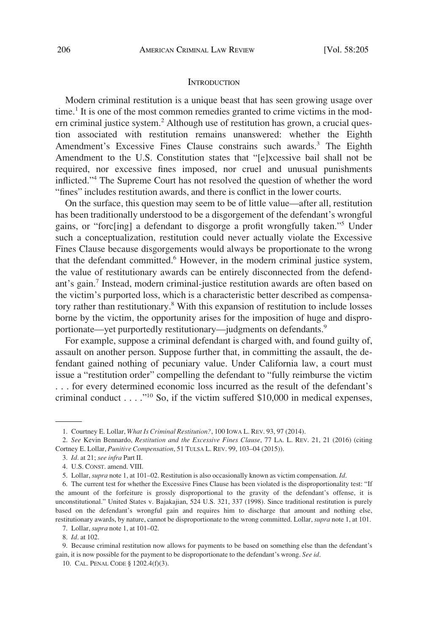#### **INTRODUCTION**

<span id="page-1-0"></span>Modern criminal restitution is a unique beast that has seen growing usage over time.<sup>1</sup> It is one of the most common remedies granted to crime victims in the modern criminal justice system.<sup>2</sup> Although use of restitution has grown, a crucial question associated with restitution remains unanswered: whether the Eighth Amendment's Excessive Fines Clause constrains such awards.<sup>3</sup> The Eighth Amendment to the U.S. Constitution states that "[e]xcessive bail shall not be required, nor excessive fines imposed, nor cruel and unusual punishments inflicted."4 The Supreme Court has not resolved the question of whether the word "fines" includes restitution awards, and there is conflict in the lower courts.

On the surface, this question may seem to be of little value—after all, restitution has been traditionally understood to be a disgorgement of the defendant's wrongful gains, or "forc[ing] a defendant to disgorge a profit wrongfully taken."5 Under such a conceptualization, restitution could never actually violate the Excessive Fines Clause because disgorgements would always be proportionate to the wrong that the defendant committed.6 However, in the modern criminal justice system, the value of restitutionary awards can be entirely disconnected from the defendant's gain.7 Instead, modern criminal-justice restitution awards are often based on the victim's purported loss, which is a characteristic better described as compensatory rather than restitutionary.8 With this expansion of restitution to include losses borne by the victim, the opportunity arises for the imposition of huge and disproportionate—yet purportedly restitutionary—judgments on defendants.<sup>9</sup>

For example, suppose a criminal defendant is charged with, and found guilty of, assault on another person. Suppose further that, in committing the assault, the defendant gained nothing of pecuniary value. Under California law, a court must issue a "restitution order" compelling the defendant to "fully reimburse the victim . . . for every determined economic loss incurred as the result of the defendant's criminal conduct  $\dots$  ."<sup>10</sup> So, if the victim suffered \$10,000 in medical expenses,

<sup>1.</sup> Courtney E. Lollar, *What Is Criminal Restitution?*, 100 IOWA L. REV. 93, 97 (2014).

<sup>2.</sup> *See* Kevin Bennardo, *Restitution and the Excessive Fines Clause*, 77 LA. L. REV. 21, 21 (2016) (citing Cortney E. Lollar, *Punitive Compensation*, 51 TULSA L. REV. 99, 103–04 (2015)).

<sup>3.</sup> *Id*. at 21; *see infra* Part II.

<sup>4.</sup> U.S. CONST. amend. VIII.

<sup>5.</sup> Lollar, *supra* note 1, at 101–02. Restitution is also occasionally known as victim compensation. *Id*.

<sup>6.</sup> The current test for whether the Excessive Fines Clause has been violated is the disproportionality test: "If the amount of the forfeiture is grossly disproportional to the gravity of the defendant's offense, it is unconstitutional." United States v. Bajakajian, 524 U.S. 321, 337 (1998). Since traditional restitution is purely based on the defendant's wrongful gain and requires him to discharge that amount and nothing else, restitutionary awards, by nature, cannot be disproportionate to the wrong committed. Lollar, *supra* note 1, at 101.

<sup>7.</sup> Lollar, *supra* note 1, at 101–02.

<sup>8.</sup> *Id*. at 102.

<sup>9.</sup> Because criminal restitution now allows for payments to be based on something else than the defendant's gain, it is now possible for the payment to be disproportionate to the defendant's wrong. *See id*.

<sup>10.</sup> CAL. PENAL CODE § 1202.4(f)(3).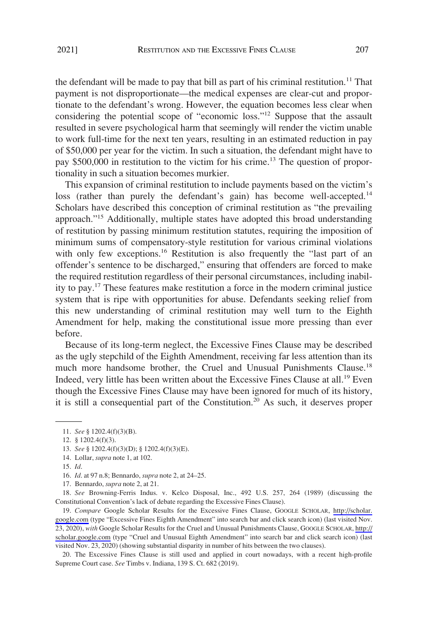the defendant will be made to pay that bill as part of his criminal restitution.<sup>11</sup> That payment is not disproportionate—the medical expenses are clear-cut and proportionate to the defendant's wrong. However, the equation becomes less clear when considering the potential scope of "economic loss."12 Suppose that the assault resulted in severe psychological harm that seemingly will render the victim unable to work full-time for the next ten years, resulting in an estimated reduction in pay of \$50,000 per year for the victim. In such a situation, the defendant might have to pay \$500,000 in restitution to the victim for his crime.<sup>13</sup> The question of proportionality in such a situation becomes murkier.

This expansion of criminal restitution to include payments based on the victim's loss (rather than purely the defendant's gain) has become well-accepted.<sup>14</sup> Scholars have described this conception of criminal restitution as "the prevailing approach."15 Additionally, multiple states have adopted this broad understanding of restitution by passing minimum restitution statutes, requiring the imposition of minimum sums of compensatory-style restitution for various criminal violations with only few exceptions.<sup>16</sup> Restitution is also frequently the "last part of an offender's sentence to be discharged," ensuring that offenders are forced to make the required restitution regardless of their personal circumstances, including inability to pay.17 These features make restitution a force in the modern criminal justice system that is ripe with opportunities for abuse. Defendants seeking relief from this new understanding of criminal restitution may well turn to the Eighth Amendment for help, making the constitutional issue more pressing than ever before.

Because of its long-term neglect, the Excessive Fines Clause may be described as the ugly stepchild of the Eighth Amendment, receiving far less attention than its much more handsome brother, the Cruel and Unusual Punishments Clause.<sup>18</sup> Indeed, very little has been written about the Excessive Fines Clause at all.<sup>19</sup> Even though the Excessive Fines Clause may have been ignored for much of its history, it is still a consequential part of the Constitution.<sup>20</sup> As such, it deserves proper

- 15. *Id*.
- 16. *Id*. at 97 n.8; Bennardo, *supra* note 2, at 24–25.
- 17. Bennardo, *supra* note 2, at 21.

18. *See* Browning-Ferris Indus. v. Kelco Disposal, Inc., 492 U.S. 257, 264 (1989) (discussing the Constitutional Convention's lack of debate regarding the Excessive Fines Clause).

19. Compare Google Scholar Results for the Excessive Fines Clause, GOOGLE SCHOLAR, http://scholar. [google.com](http://scholar.google.com) (type "Excessive Fines Eighth Amendment" into search bar and click search icon) (last visited Nov. 23, 2020), *with* Google Scholar Results for the Cruel and Unusual Punishments Clause, GOOGLE SCHOLAR, [http://](http://scholar.google.com) [scholar.google.com](http://scholar.google.com) (type "Cruel and Unusual Eighth Amendment" into search bar and click search icon) (last visited Nov. 23, 2020) (showing substantial disparity in number of hits between the two clauses).

20. The Excessive Fines Clause is still used and applied in court nowadays, with a recent high-profile Supreme Court case. *See* Timbs v. Indiana, 139 S. Ct. 682 (2019).

<sup>11.</sup> *See* § 1202.4(f)(3)(B).

<sup>12. § 1202.4(</sup>f)(3).

<sup>13.</sup> *See* § 1202.4(f)(3)(D); § 1202.4(f)(3)(E).

<sup>14.</sup> Lollar, *supra* note 1, at 102.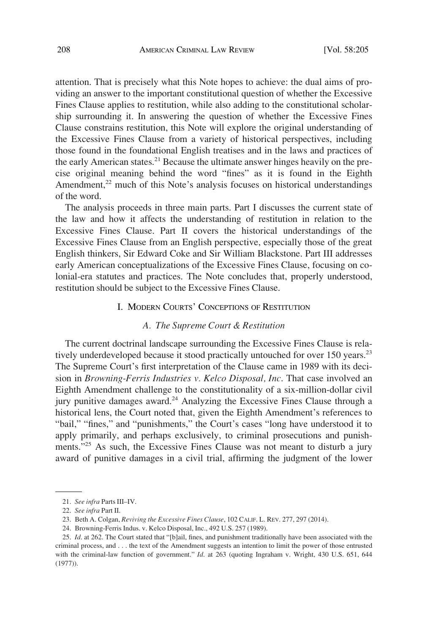<span id="page-3-0"></span>attention. That is precisely what this Note hopes to achieve: the dual aims of providing an answer to the important constitutional question of whether the Excessive Fines Clause applies to restitution, while also adding to the constitutional scholarship surrounding it. In answering the question of whether the Excessive Fines Clause constrains restitution, this Note will explore the original understanding of the Excessive Fines Clause from a variety of historical perspectives, including those found in the foundational English treatises and in the laws and practices of the early American states.<sup>21</sup> Because the ultimate answer hinges heavily on the precise original meaning behind the word "fines" as it is found in the Eighth Amendment, $2<sup>2</sup>$  much of this Note's analysis focuses on historical understandings of the word.

The analysis proceeds in three main parts. Part I discusses the current state of the law and how it affects the understanding of restitution in relation to the Excessive Fines Clause. Part II covers the historical understandings of the Excessive Fines Clause from an English perspective, especially those of the great English thinkers, Sir Edward Coke and Sir William Blackstone. Part III addresses early American conceptualizations of the Excessive Fines Clause, focusing on colonial-era statutes and practices. The Note concludes that, properly understood, restitution should be subject to the Excessive Fines Clause.

#### I. MODERN COURTS' CONCEPTIONS OF RESTITUTION

## *A. The Supreme Court & Restitution*

The current doctrinal landscape surrounding the Excessive Fines Clause is relatively underdeveloped because it stood practically untouched for over 150 years.<sup>23</sup> The Supreme Court's first interpretation of the Clause came in 1989 with its decision in *Browning-Ferris Industries v. Kelco Disposal, Inc*. That case involved an Eighth Amendment challenge to the constitutionality of a six-million-dollar civil jury punitive damages award.<sup>24</sup> Analyzing the Excessive Fines Clause through a historical lens, the Court noted that, given the Eighth Amendment's references to "bail," "fines," and "punishments," the Court's cases "long have understood it to apply primarily, and perhaps exclusively, to criminal prosecutions and punishments."<sup>25</sup> As such, the Excessive Fines Clause was not meant to disturb a jury award of punitive damages in a civil trial, affirming the judgment of the lower

24. Browning-Ferris Indus. v. Kelco Disposal, Inc., 492 U.S. 257 (1989).

<sup>21.</sup> *See infra* Parts III–IV.

<sup>22.</sup> *See infra* Part II.

<sup>23.</sup> Beth A. Colgan, *Reviving the Excessive Fines Clause*, 102 CALIF. L. REV. 277, 297 (2014).

<sup>25.</sup> *Id*. at 262. The Court stated that "[b]ail, fines, and punishment traditionally have been associated with the criminal process, and . . . the text of the Amendment suggests an intention to limit the power of those entrusted with the criminal-law function of government." *Id*. at 263 (quoting Ingraham v. Wright, 430 U.S. 651, 644 (1977)).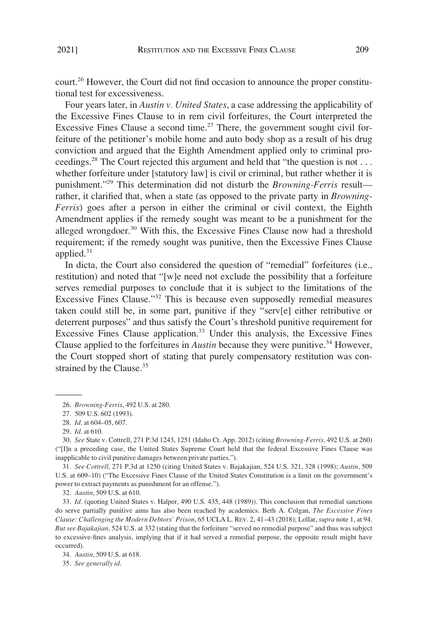court.26 However, the Court did not find occasion to announce the proper constitutional test for excessiveness.

Four years later, in *Austin v. United States*, a case addressing the applicability of the Excessive Fines Clause to in rem civil forfeitures, the Court interpreted the Excessive Fines Clause a second time.<sup>27</sup> There, the government sought civil forfeiture of the petitioner's mobile home and auto body shop as a result of his drug conviction and argued that the Eighth Amendment applied only to criminal proceedings.<sup>28</sup> The Court rejected this argument and held that "the question is not ... whether forfeiture under [statutory law] is civil or criminal, but rather whether it is punishment."29 This determination did not disturb the *Browning-Ferris* result rather, it clarified that, when a state (as opposed to the private party in *Browning-Ferris*) goes after a person in either the criminal or civil context, the Eighth Amendment applies if the remedy sought was meant to be a punishment for the alleged wrongdoer.<sup>30</sup> With this, the Excessive Fines Clause now had a threshold requirement; if the remedy sought was punitive, then the Excessive Fines Clause applied. $31$ 

In dicta, the Court also considered the question of "remedial" forfeitures (i.e., restitution) and noted that "[w]e need not exclude the possibility that a forfeiture serves remedial purposes to conclude that it is subject to the limitations of the Excessive Fines Clause."32 This is because even supposedly remedial measures taken could still be, in some part, punitive if they "serv[e] either retributive or deterrent purposes" and thus satisfy the Court's threshold punitive requirement for Excessive Fines Clause application.33 Under this analysis, the Excessive Fines Clause applied to the forfeitures in *Austin* because they were punitive.<sup>34</sup> However, the Court stopped short of stating that purely compensatory restitution was constrained by the Clause.<sup>35</sup>

31. *See Cottrell*, 271 P.3d at 1250 (citing United States v. Bajakajian, 524 U.S. 321, 328 (1998); *Austin*, 509 U.S. at 609–10) ("The Excessive Fines Clause of the United States Constitution is a limit on the government's power to extract payments as punishment for an offense.").

32. *Austin*, 509 U.S. at 610.

33. *Id*. (quoting United States v. Halper, 490 U.S. 435, 448 (1989)). This conclusion that remedial sanctions do serve partially punitive aims has also been reached by academics. Beth A. Colgan, *The Excessive Fines Clause: Challenging the Modern Debtors' Prison*, 65 UCLA L. REV. 2, 41–43 (2018); Lollar, *supra* note 1, at 94. *But see Bajakajian*, 524 U.S. at 332 (stating that the forfeiture "served no remedial purpose" and thus was subject to excessive-fines analysis, implying that if it had served a remedial purpose, the opposite result might have occurred).

35. *See generally id*.

<sup>26.</sup> *Browning-Ferris*, 492 U.S. at 280.

<sup>27. 509</sup> U.S. 602 (1993).

<sup>28.</sup> *Id*. at 604–05, 607.

<sup>29.</sup> *Id*. at 610.

<sup>30.</sup> *See* State v. Cottrell, 271 P.3d 1243, 1251 (Idaho Ct. App. 2012) (citing *Browning-Ferris*, 492 U.S. at 260) ("[I]n a preceding case, the United States Supreme Court held that the federal Excessive Fines Clause was inapplicable to civil punitive damages between private parties.").

<sup>34.</sup> *Austin*, 509 U.S. at 618.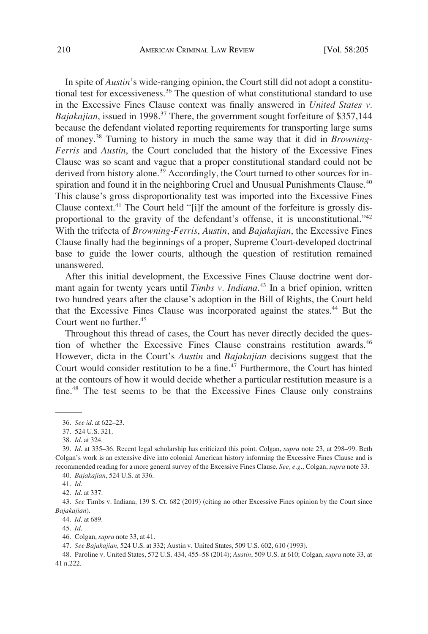In spite of *Austin*'s wide-ranging opinion, the Court still did not adopt a constitutional test for excessiveness.<sup>36</sup> The question of what constitutional standard to use in the Excessive Fines Clause context was finally answered in *United States v. Bajakajian*, issued in 1998.<sup>37</sup> There, the government sought forfeiture of \$357,144 because the defendant violated reporting requirements for transporting large sums of money.38 Turning to history in much the same way that it did in *Browning-Ferris* and *Austin*, the Court concluded that the history of the Excessive Fines Clause was so scant and vague that a proper constitutional standard could not be derived from history alone.<sup>39</sup> Accordingly, the Court turned to other sources for inspiration and found it in the neighboring Cruel and Unusual Punishments Clause.<sup>40</sup> This clause's gross disproportionality test was imported into the Excessive Fines Clause context.<sup>41</sup> The Court held "[i]f the amount of the forfeiture is grossly disproportional to the gravity of the defendant's offense, it is unconstitutional."42 With the trifecta of *Browning-Ferris*, *Austin*, and *Bajakajian*, the Excessive Fines Clause finally had the beginnings of a proper, Supreme Court-developed doctrinal base to guide the lower courts, although the question of restitution remained unanswered.

After this initial development, the Excessive Fines Clause doctrine went dormant again for twenty years until *Timbs v. Indiana*. 43 In a brief opinion, written two hundred years after the clause's adoption in the Bill of Rights, the Court held that the Excessive Fines Clause was incorporated against the states.<sup>44</sup> But the Court went no further.<sup>45</sup>

Throughout this thread of cases, the Court has never directly decided the question of whether the Excessive Fines Clause constrains restitution awards.<sup>46</sup> However, dicta in the Court's *Austin* and *Bajakajian* decisions suggest that the Court would consider restitution to be a fine.<sup>47</sup> Furthermore, the Court has hinted at the contours of how it would decide whether a particular restitution measure is a fine.48 The test seems to be that the Excessive Fines Clause only constrains

<sup>36.</sup> *See id*. at 622–23.

<sup>37. 524</sup> U.S. 321.

<sup>38.</sup> *Id*. at 324.

<sup>39.</sup> *Id*. at 335–36. Recent legal scholarship has criticized this point. Colgan, *supra* note 23, at 298–99. Beth Colgan's work is an extensive dive into colonial American history informing the Excessive Fines Clause and is recommended reading for a more general survey of the Excessive Fines Clause. *See, e.g*., Colgan, *supra* note 33.

<sup>40.</sup> *Bajakajian*, 524 U.S. at 336.

<sup>41.</sup> *Id*.

<sup>42.</sup> *Id*. at 337.

<sup>43.</sup> *See* Timbs v. Indiana, 139 S. Ct. 682 (2019) (citing no other Excessive Fines opinion by the Court since *Bajakajian*).

<sup>44.</sup> *Id*. at 689.

<sup>45.</sup> *Id*.

<sup>46.</sup> Colgan, *supra* note 33, at 41.

<sup>47.</sup> *See Bajakajian*, 524 U.S. at 332; Austin v. United States, 509 U.S. 602, 610 (1993).

<sup>48.</sup> Paroline v. United States, 572 U.S. 434, 455–58 (2014); *Austin*, 509 U.S. at 610; Colgan, *supra* note 33, at 41 n.222.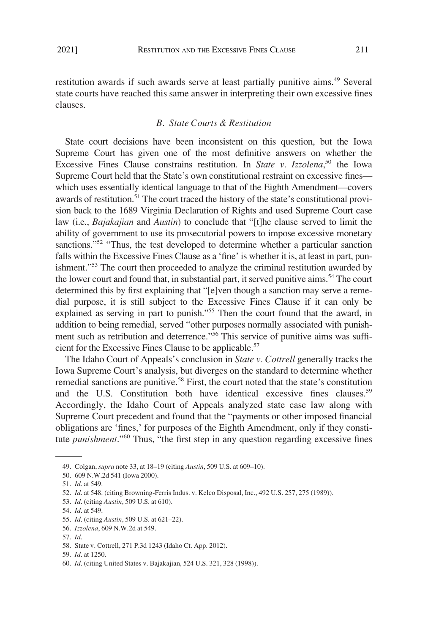<span id="page-6-0"></span>restitution awards if such awards serve at least partially punitive aims.49 Several state courts have reached this same answer in interpreting their own excessive fines clauses.

## *B. State Courts & Restitution*

State court decisions have been inconsistent on this question, but the Iowa Supreme Court has given one of the most definitive answers on whether the Excessive Fines Clause constrains restitution. In *State v. Izzolena*, 50 the Iowa Supreme Court held that the State's own constitutional restraint on excessive fines which uses essentially identical language to that of the Eighth Amendment—covers awards of restitution.<sup>51</sup> The court traced the history of the state's constitutional provision back to the 1689 Virginia Declaration of Rights and used Supreme Court case law (i.e., *Bajakajian* and *Austin*) to conclude that "[t]he clause served to limit the ability of government to use its prosecutorial powers to impose excessive monetary sanctions."<sup>52</sup> "Thus, the test developed to determine whether a particular sanction falls within the Excessive Fines Clause as a 'fine' is whether it is, at least in part, punishment."<sup>53</sup> The court then proceeded to analyze the criminal restitution awarded by the lower court and found that, in substantial part, it served punitive aims.<sup>54</sup> The court determined this by first explaining that "[e]ven though a sanction may serve a remedial purpose, it is still subject to the Excessive Fines Clause if it can only be explained as serving in part to punish."<sup>55</sup> Then the court found that the award, in addition to being remedial, served "other purposes normally associated with punishment such as retribution and deterrence."<sup>56</sup> This service of punitive aims was sufficient for the Excessive Fines Clause to be applicable.<sup>57</sup>

The Idaho Court of Appeals's conclusion in *State v. Cottrell* generally tracks the Iowa Supreme Court's analysis, but diverges on the standard to determine whether remedial sanctions are punitive.<sup>58</sup> First, the court noted that the state's constitution and the U.S. Constitution both have identical excessive fines clauses.<sup>59</sup> Accordingly, the Idaho Court of Appeals analyzed state case law along with Supreme Court precedent and found that the "payments or other imposed financial obligations are 'fines,' for purposes of the Eighth Amendment, only if they constitute *punishment*."60 Thus, "the first step in any question regarding excessive fines

- 55. *Id*. (citing *Austin*, 509 U.S. at 621–22).
- 56. *Izzolena*, 609 N.W.2d at 549.

<sup>49.</sup> Colgan, *supra* note 33, at 18–19 (citing *Austin*, 509 U.S. at 609–10).

<sup>50. 609</sup> N.W.2d 541 (Iowa 2000).

<sup>51.</sup> *Id*. at 549.

<sup>52.</sup> *Id*. at 548. (citing Browning-Ferris Indus. v. Kelco Disposal, Inc., 492 U.S. 257, 275 (1989)).

<sup>53.</sup> *Id*. (citing *Austin*, 509 U.S. at 610).

<sup>54.</sup> *Id*. at 549.

<sup>57.</sup> *Id*.

<sup>58.</sup> State v. Cottrell, 271 P.3d 1243 (Idaho Ct. App. 2012).

<sup>59.</sup> *Id*. at 1250.

<sup>60.</sup> *Id*. (citing United States v. Bajakajian, 524 U.S. 321, 328 (1998)).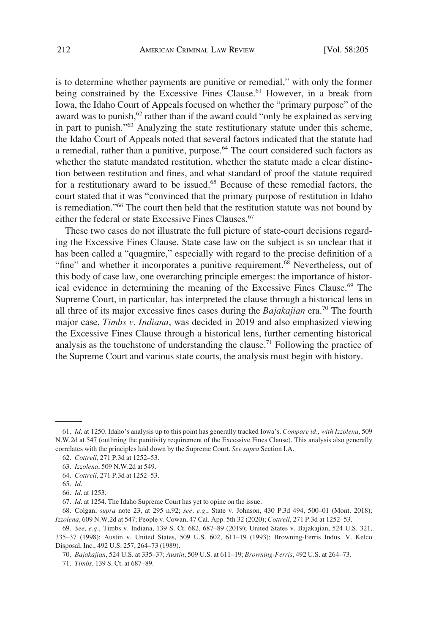is to determine whether payments are punitive or remedial," with only the former being constrained by the Excessive Fines Clause.<sup>61</sup> However, in a break from Iowa, the Idaho Court of Appeals focused on whether the "primary purpose" of the award was to punish, $62$  rather than if the award could "only be explained as serving in part to punish."63 Analyzing the state restitutionary statute under this scheme, the Idaho Court of Appeals noted that several factors indicated that the statute had a remedial, rather than a punitive, purpose.<sup>64</sup> The court considered such factors as whether the statute mandated restitution, whether the statute made a clear distinction between restitution and fines, and what standard of proof the statute required for a restitutionary award to be issued.<sup>65</sup> Because of these remedial factors, the court stated that it was "convinced that the primary purpose of restitution in Idaho is remediation."66 The court then held that the restitution statute was not bound by either the federal or state Excessive Fines Clauses.<sup>67</sup>

These two cases do not illustrate the full picture of state-court decisions regarding the Excessive Fines Clause. State case law on the subject is so unclear that it has been called a "quagmire," especially with regard to the precise definition of a "fine" and whether it incorporates a punitive requirement.<sup>68</sup> Nevertheless, out of this body of case law, one overarching principle emerges: the importance of historical evidence in determining the meaning of the Excessive Fines Clause.<sup>69</sup> The Supreme Court, in particular, has interpreted the clause through a historical lens in all three of its major excessive fines cases during the *Bajakajian* era.70 The fourth major case, *Timbs v. Indiana*, was decided in 2019 and also emphasized viewing the Excessive Fines Clause through a historical lens, further cementing historical analysis as the touchstone of understanding the clause.<sup>71</sup> Following the practice of the Supreme Court and various state courts, the analysis must begin with history.

<sup>61.</sup> *Id*. at 1250. Idaho's analysis up to this point has generally tracked Iowa's. *Compare id*., *with Izzolena*, 509 N.W.2d at 547 (outlining the punitivity requirement of the Excessive Fines Clause). This analysis also generally correlates with the principles laid down by the Supreme Court. *See supra* Section I.A.

<sup>62.</sup> *Cottrell*, 271 P.3d at 1252–53.

<sup>63.</sup> *Izzolena*, 509 N.W.2d at 549.

<sup>64.</sup> *Cottrell*, 271 P.3d at 1252–53.

<sup>65.</sup> *Id*.

<sup>66.</sup> *Id*. at 1253.

<sup>67.</sup> *Id*. at 1254. The Idaho Supreme Court has yet to opine on the issue.

<sup>68.</sup> Colgan, *supra* note 23, at 295 n.92; *see, e.g*., State v. Johnson, 430 P.3d 494, 500–01 (Mont. 2018); *Izzolena*, 609 N.W.2d at 547; People v. Cowan, 47 Cal. App. 5th 32 (2020); *Cottrell*, 271 P.3d at 1252–53.

<sup>69.</sup> *See, e.g*., Timbs v. Indiana, 139 S. Ct. 682, 687–89 (2019); United States v. Bajakajian, 524 U.S. 321, 335–37 (1998); Austin v. United States, 509 U.S. 602, 611–19 (1993); Browning-Ferris Indus. V. Kelco Disposal, Inc., 492 U.S. 257, 264–73 (1989).

<sup>70.</sup> *Bajakajian*, 524 U.S. at 335–37; *Austin*, 509 U.S. at 611–19; *Browning-Ferris*, 492 U.S. at 264–73.

<sup>71.</sup> *Timbs*, 139 S. Ct. at 687–89.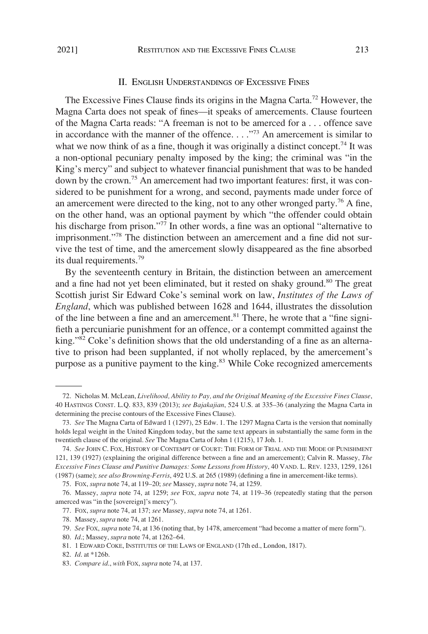#### II. ENGLISH UNDERSTANDINGS OF EXCESSIVE FINES

<span id="page-8-0"></span>The Excessive Fines Clause finds its origins in the Magna Carta.72 However, the Magna Carta does not speak of fines—it speaks of amercements. Clause fourteen of the Magna Carta reads: "A freeman is not to be amerced for a . . . offence save in accordance with the manner of the offence.  $\ldots$ <sup>773</sup> An amercement is similar to what we now think of as a fine, though it was originally a distinct concept.<sup>74</sup> It was a non-optional pecuniary penalty imposed by the king; the criminal was "in the King's mercy" and subject to whatever financial punishment that was to be handed down by the crown.<sup>75</sup> An amercement had two important features: first, it was considered to be punishment for a wrong, and second, payments made under force of an amercement were directed to the king, not to any other wronged party.<sup>76</sup> A fine, on the other hand, was an optional payment by which "the offender could obtain his discharge from prison."<sup>77</sup> In other words, a fine was an optional "alternative to imprisonment."78 The distinction between an amercement and a fine did not survive the test of time, and the amercement slowly disappeared as the fine absorbed its dual requirements.<sup>79</sup>

By the seventeenth century in Britain, the distinction between an amercement and a fine had not yet been eliminated, but it rested on shaky ground.<sup>80</sup> The great Scottish jurist Sir Edward Coke's seminal work on law, *Institutes of the Laws of England*, which was published between 1628 and 1644, illustrates the dissolution of the line between a fine and an amercement.<sup>81</sup> There, he wrote that a "fine signifieth a percuniarie punishment for an offence, or a contempt committed against the king."82 Coke's definition shows that the old understanding of a fine as an alternative to prison had been supplanted, if not wholly replaced, by the amercement's purpose as a punitive payment to the king. $83$  While Coke recognized amercements

75. FOX, *supra* note 74, at 119–20; *see* Massey, *supra* note 74, at 1259.

<sup>72.</sup> Nicholas M. McLean, *Livelihood, Ability to Pay, and the Original Meaning of the Excessive Fines Clause*, 40 HASTINGS CONST. L.Q. 833, 839 (2013); *see Bajakajian*, 524 U.S. at 335–36 (analyzing the Magna Carta in determining the precise contours of the Excessive Fines Clause).

<sup>73.</sup> *See* The Magna Carta of Edward 1 (1297), 25 Edw. 1. The 1297 Magna Carta is the version that nominally holds legal weight in the United Kingdom today, but the same text appears in substantially the same form in the twentieth clause of the original. *See* The Magna Carta of John 1 (1215), 17 Joh. 1.

<sup>74.</sup> *See* JOHN C. FOX, HISTORY OF CONTEMPT OF COURT: THE FORM OF TRIAL AND THE MODE OF PUNISHMENT 121, 139 (1927) (explaining the original difference between a fine and an amercement); Calvin R. Massey, *The Excessive Fines Clause and Punitive Damages: Some Lessons from History*, 40 VAND. L. REV. 1233, 1259, 1261 (1987) (same); *see also Browning-Ferris*, 492 U.S. at 265 (1989) (defining a fine in amercement-like terms).

<sup>76.</sup> Massey, *supra* note 74, at 1259; *see* FOX, *supra* note 74, at 119–36 (repeatedly stating that the person amerced was "in the [sovereign]'s mercy").

<sup>77.</sup> FOX, *supra* note 74, at 137; *see* Massey, *supra* note 74, at 1261.

<sup>78.</sup> Massey, *supra* note 74, at 1261.

<sup>79.</sup> *See* FOX, *supra* note 74, at 136 (noting that, by 1478, amercement "had become a matter of mere form").

<sup>80.</sup> *Id*.; Massey, *supra* note 74, at 1262–64.

<sup>81. 1</sup> EDWARD COKE, INSTITUTES OF THE LAWS OF ENGLAND (17th ed., London, 1817).

<sup>82.</sup> *Id*. at \*126b.

<sup>83.</sup> *Compare id*., *with* FOX, *supra* note 74, at 137.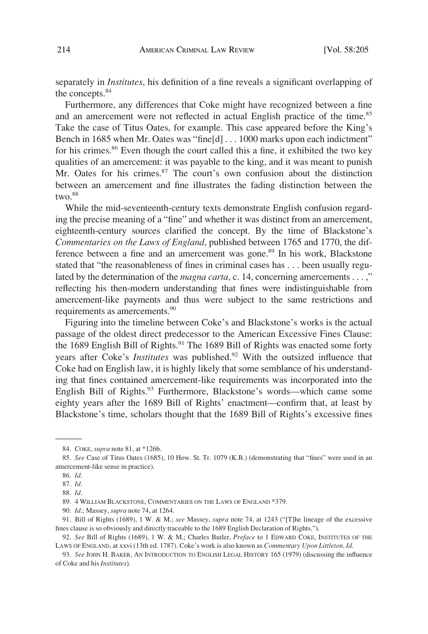separately in *Institutes*, his definition of a fine reveals a significant overlapping of the concepts.<sup>84</sup>

Furthermore, any differences that Coke might have recognized between a fine and an amercement were not reflected in actual English practice of the time.<sup>85</sup> Take the case of Titus Oates, for example. This case appeared before the King's Bench in 1685 when Mr. Oates was "fine[d] . . . 1000 marks upon each indictment" for his crimes.<sup>86</sup> Even though the court called this a fine, it exhibited the two key qualities of an amercement: it was payable to the king, and it was meant to punish Mr. Oates for his crimes.<sup>87</sup> The court's own confusion about the distinction between an amercement and fine illustrates the fading distinction between the two. $88$ 

While the mid-seventeenth-century texts demonstrate English confusion regarding the precise meaning of a "fine" and whether it was distinct from an amercement, eighteenth-century sources clarified the concept. By the time of Blackstone's *Commentaries on the Laws of England*, published between 1765 and 1770, the difference between a fine and an amercement was gone.<sup>89</sup> In his work, Blackstone stated that "the reasonableness of fines in criminal cases has . . . been usually regulated by the determination of the *magna carta*, c. 14, concerning amercements . . . ," reflecting his then-modern understanding that fines were indistinguishable from amercement-like payments and thus were subject to the same restrictions and requirements as amercements.<sup>90</sup>

Figuring into the timeline between Coke's and Blackstone's works is the actual passage of the oldest direct predecessor to the American Excessive Fines Clause: the 1689 English Bill of Rights.<sup>91</sup> The 1689 Bill of Rights was enacted some forty years after Coke's *Institutes* was published.<sup>92</sup> With the outsized influence that Coke had on English law, it is highly likely that some semblance of his understanding that fines contained amercement-like requirements was incorporated into the English Bill of Rights.<sup>93</sup> Furthermore, Blackstone's words—which came some eighty years after the 1689 Bill of Rights' enactment—confirm that, at least by Blackstone's time, scholars thought that the 1689 Bill of Rights's excessive fines

89. 4 WILLIAM BLACKSTONE, COMMENTARIES ON THE LAWS OF ENGLAND \*379.

<sup>84.</sup> COKE, *supra* note 81, at \*126b.

<sup>85.</sup> *See* Case of Titus Oates (1685), 10 How. St. Tr. 1079 (K.B.) (demonstrating that "fines" were used in an amercement-like sense in practice).

<sup>86.</sup> *Id*.

<sup>87.</sup> *Id*.

<sup>88.</sup> *Id*.

<sup>90.</sup> *Id*.; Massey, *supra* note 74, at 1264.

<sup>91.</sup> Bill of Rights (1689), 1 W. & M.; *see* Massey, *supra* note 74, at 1243 ("[T]he lineage of the excessive fines clause is so obviously and directly traceable to the 1689 English Declaration of Rights.").

<sup>92.</sup> *See* Bill of Rights (1689), 1 W. & M.; Charles Butler, *Preface* to 1 EDWARD COKE, INSTITUTES OF THE LAWS OF ENGLAND, at xxvi (13th ed. 1787). Coke's work is also known as *Commentary Upon Littleton*. *Id*.

<sup>93.</sup> *See* JOHN H. BAKER, AN INTRODUCTION TO ENGLISH LEGAL HISTORY 165 (1979) (discussing the influence of Coke and his *Institutes*).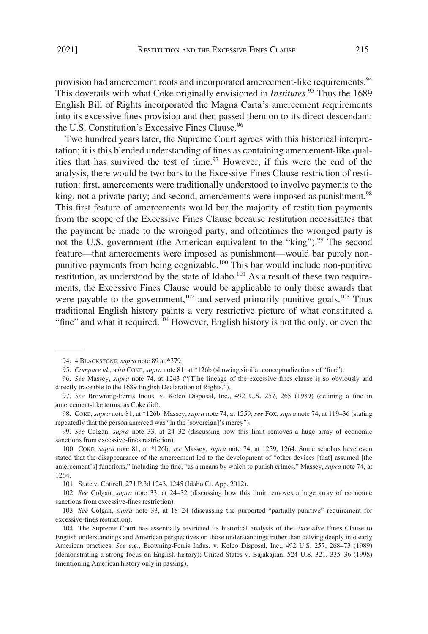provision had amercement roots and incorporated amercement-like requirements.<sup>94</sup> This dovetails with what Coke originally envisioned in *Institutes*. 95 Thus the 1689 English Bill of Rights incorporated the Magna Carta's amercement requirements into its excessive fines provision and then passed them on to its direct descendant: the U.S. Constitution's Excessive Fines Clause.<sup>96</sup>

Two hundred years later, the Supreme Court agrees with this historical interpretation; it is this blended understanding of fines as containing amercement-like qualities that has survived the test of time.<sup>97</sup> However, if this were the end of the analysis, there would be two bars to the Excessive Fines Clause restriction of restitution: first, amercements were traditionally understood to involve payments to the king, not a private party; and second, amercements were imposed as punishment.<sup>98</sup> This first feature of amercements would bar the majority of restitution payments from the scope of the Excessive Fines Clause because restitution necessitates that the payment be made to the wronged party, and oftentimes the wronged party is not the U.S. government (the American equivalent to the "king").<sup>99</sup> The second feature—that amercements were imposed as punishment—would bar purely nonpunitive payments from being cognizable.100 This bar would include non-punitive restitution, as understood by the state of Idaho.<sup>101</sup> As a result of these two requirements, the Excessive Fines Clause would be applicable to only those awards that were payable to the government,<sup>102</sup> and served primarily punitive goals.<sup>103</sup> Thus traditional English history paints a very restrictive picture of what constituted a "fine" and what it required.<sup>104</sup> However, English history is not the only, or even the

99. *See* Colgan, *supra* note 33, at 24–32 (discussing how this limit removes a huge array of economic sanctions from excessive-fines restriction).

101. State v. Cottrell, 271 P.3d 1243, 1245 (Idaho Ct. App. 2012).

<sup>94. 4</sup> BLACKSTONE, *supra* note 89 at \*379.

<sup>95.</sup> *Compare id*., *with* COKE, *supra* note 81, at \*126b (showing similar conceptualizations of "fine").

<sup>96.</sup> *See* Massey, *supra* note 74, at 1243 ("[T]he lineage of the excessive fines clause is so obviously and directly traceable to the 1689 English Declaration of Rights.").

<sup>97.</sup> *See* Browning-Ferris Indus. v. Kelco Disposal, Inc., 492 U.S. 257, 265 (1989) (defining a fine in amercement-like terms, as Coke did).

<sup>98.</sup> COKE, *supra* note 81, at \*126b; Massey, *supra* note 74, at 1259; *see* FOX, *supra* note 74, at 119–36 (stating repeatedly that the person amerced was "in the [sovereign]'s mercy").

<sup>100.</sup> COKE, *supra* note 81, at \*126b; *see* Massey, *supra* note 74, at 1259, 1264. Some scholars have even stated that the disappearance of the amercement led to the development of "other devices [that] assumed [the amercement's] functions," including the fine, "as a means by which to punish crimes." Massey, *supra* note 74, at 1264.

<sup>102.</sup> *See* Colgan, *supra* note 33, at 24–32 (discussing how this limit removes a huge array of economic sanctions from excessive-fines restriction).

<sup>103.</sup> *See* Colgan, *supra* note 33, at 18–24 (discussing the purported "partially-punitive" requirement for excessive-fines restriction).

<sup>104.</sup> The Supreme Court has essentially restricted its historical analysis of the Excessive Fines Clause to English understandings and American perspectives on those understandings rather than delving deeply into early American practices. *See e.g*., Browning-Ferris Indus. v. Kelco Disposal, Inc., 492 U.S. 257, 268–73 (1989) (demonstrating a strong focus on English history); United States v. Bajakajian, 524 U.S. 321, 335–36 (1998) (mentioning American history only in passing).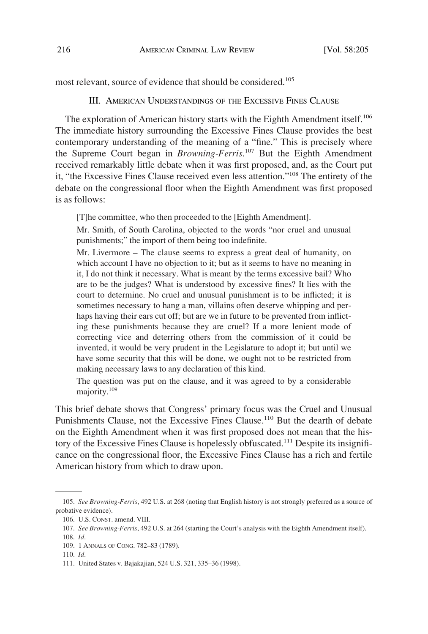<span id="page-11-0"></span>most relevant, source of evidence that should be considered.<sup>105</sup>

III. AMERICAN UNDERSTANDINGS OF THE EXCESSIVE FINES CLAUSE

The exploration of American history starts with the Eighth Amendment itself.<sup>106</sup> The immediate history surrounding the Excessive Fines Clause provides the best contemporary understanding of the meaning of a "fine." This is precisely where the Supreme Court began in *Browning-Ferris*. 107 But the Eighth Amendment received remarkably little debate when it was first proposed, and, as the Court put it, "the Excessive Fines Clause received even less attention."108 The entirety of the debate on the congressional floor when the Eighth Amendment was first proposed is as follows:

[T]he committee, who then proceeded to the [Eighth Amendment].

Mr. Smith, of South Carolina, objected to the words "nor cruel and unusual punishments;" the import of them being too indefinite.

Mr. Livermore – The clause seems to express a great deal of humanity, on which account I have no objection to it; but as it seems to have no meaning in it, I do not think it necessary. What is meant by the terms excessive bail? Who are to be the judges? What is understood by excessive fines? It lies with the court to determine. No cruel and unusual punishment is to be inflicted; it is sometimes necessary to hang a man, villains often deserve whipping and perhaps having their ears cut off; but are we in future to be prevented from inflicting these punishments because they are cruel? If a more lenient mode of correcting vice and deterring others from the commission of it could be invented, it would be very prudent in the Legislature to adopt it; but until we have some security that this will be done, we ought not to be restricted from making necessary laws to any declaration of this kind.

The question was put on the clause, and it was agreed to by a considerable majority.<sup>109</sup>

This brief debate shows that Congress' primary focus was the Cruel and Unusual Punishments Clause, not the Excessive Fines Clause.<sup>110</sup> But the dearth of debate on the Eighth Amendment when it was first proposed does not mean that the history of the Excessive Fines Clause is hopelessly obfuscated.111 Despite its insignificance on the congressional floor, the Excessive Fines Clause has a rich and fertile American history from which to draw upon.

<sup>105.</sup> *See Browning-Ferris*, 492 U.S. at 268 (noting that English history is not strongly preferred as a source of probative evidence).

<sup>106.</sup> U.S. CONST. amend. VIII.

<sup>107.</sup> *See Browning-Ferris*, 492 U.S. at 264 (starting the Court's analysis with the Eighth Amendment itself).

<sup>108.</sup> *Id*.

<sup>109. 1</sup> ANNALS OF CONG. 782–83 (1789).

<sup>110.</sup> *Id*.

<sup>111.</sup> United States v. Bajakajian, 524 U.S. 321, 335–36 (1998).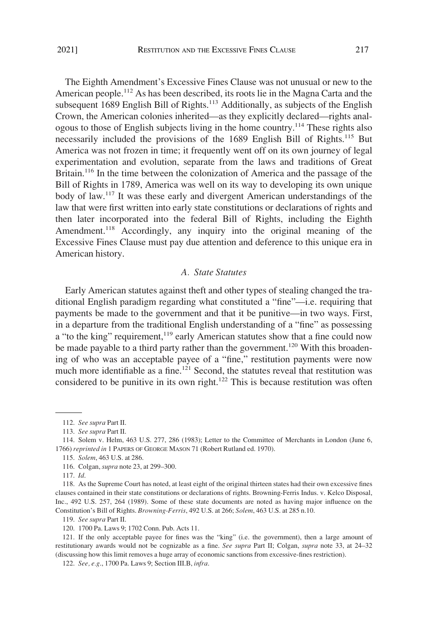<span id="page-12-0"></span>2021]

The Eighth Amendment's Excessive Fines Clause was not unusual or new to the American people.<sup>112</sup> As has been described, its roots lie in the Magna Carta and the subsequent 1689 English Bill of Rights.<sup>113</sup> Additionally, as subjects of the English Crown, the American colonies inherited—as they explicitly declared—rights analogous to those of English subjects living in the home country.114 These rights also necessarily included the provisions of the 1689 English Bill of Rights.<sup>115</sup> But America was not frozen in time; it frequently went off on its own journey of legal experimentation and evolution, separate from the laws and traditions of Great Britain.<sup>116</sup> In the time between the colonization of America and the passage of the Bill of Rights in 1789, America was well on its way to developing its own unique body of law.117 It was these early and divergent American understandings of the law that were first written into early state constitutions or declarations of rights and then later incorporated into the federal Bill of Rights, including the Eighth Amendment.<sup>118</sup> Accordingly, any inquiry into the original meaning of the Excessive Fines Clause must pay due attention and deference to this unique era in American history.

## *A. State Statutes*

Early American statutes against theft and other types of stealing changed the traditional English paradigm regarding what constituted a "fine"—i.e. requiring that payments be made to the government and that it be punitive—in two ways. First, in a departure from the traditional English understanding of a "fine" as possessing a "to the king" requirement,<sup>119</sup> early American statutes show that a fine could now be made payable to a third party rather than the government.<sup>120</sup> With this broadening of who was an acceptable payee of a "fine," restitution payments were now much more identifiable as a fine.<sup>121</sup> Second, the statutes reveal that restitution was considered to be punitive in its own right.<sup>122</sup> This is because restitution was often

<sup>112.</sup> *See supra* Part II.

<sup>113.</sup> *See supra* Part II.

<sup>114.</sup> Solem v. Helm, 463 U.S. 277, 286 (1983); Letter to the Committee of Merchants in London (June 6, 1766) *reprinted in* 1 PAPERS OF GEORGE MASON 71 (Robert Rutland ed. 1970).

<sup>115.</sup> *Solem*, 463 U.S. at 286.

<sup>116.</sup> Colgan, *supra* note 23, at 299–300.

<sup>117.</sup> *Id*.

<sup>118.</sup> As the Supreme Court has noted, at least eight of the original thirteen states had their own excessive fines clauses contained in their state constitutions or declarations of rights. Browning-Ferris Indus. v. Kelco Disposal, Inc., 492 U.S. 257, 264 (1989). Some of these state documents are noted as having major influence on the Constitution's Bill of Rights. *Browning-Ferris*, 492 U.S. at 266; *Solem*, 463 U.S. at 285 n.10.

<sup>119.</sup> *See supra* Part II.

<sup>120. 1700</sup> Pa. Laws 9; 1702 Conn. Pub. Acts 11.

<sup>121.</sup> If the only acceptable payee for fines was the "king" (i.e. the government), then a large amount of restitutionary awards would not be cognizable as a fine. *See supra* Part II; Colgan, *supra* note 33, at 24–32 (discussing how this limit removes a huge array of economic sanctions from excessive-fines restriction).

<sup>122.</sup> *See, e.g*., 1700 Pa. Laws 9; Section III.B, *infra*.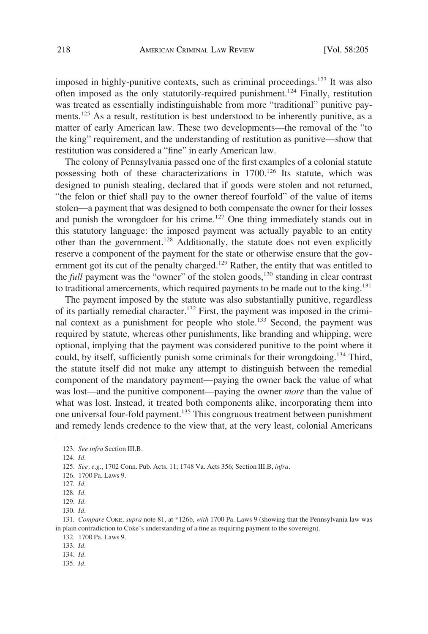imposed in highly-punitive contexts, such as criminal proceedings.<sup>123</sup> It was also often imposed as the only statutorily-required punishment.124 Finally, restitution was treated as essentially indistinguishable from more "traditional" punitive payments.<sup>125</sup> As a result, restitution is best understood to be inherently punitive, as a matter of early American law. These two developments—the removal of the "to the king" requirement, and the understanding of restitution as punitive—show that restitution was considered a "fine" in early American law.

The colony of Pennsylvania passed one of the first examples of a colonial statute possessing both of these characterizations in 1700.<sup>126</sup> Its statute, which was designed to punish stealing, declared that if goods were stolen and not returned, "the felon or thief shall pay to the owner thereof fourfold" of the value of items stolen—a payment that was designed to both compensate the owner for their losses and punish the wrongdoer for his crime.<sup>127</sup> One thing immediately stands out in this statutory language: the imposed payment was actually payable to an entity other than the government.128 Additionally, the statute does not even explicitly reserve a component of the payment for the state or otherwise ensure that the government got its cut of the penalty charged.<sup>129</sup> Rather, the entity that was entitled to the *full* payment was the "owner" of the stolen goods,<sup>130</sup> standing in clear contrast to traditional amercements, which required payments to be made out to the king.<sup>131</sup>

The payment imposed by the statute was also substantially punitive, regardless of its partially remedial character.132 First, the payment was imposed in the criminal context as a punishment for people who stole.<sup>133</sup> Second, the payment was required by statute, whereas other punishments, like branding and whipping, were optional, implying that the payment was considered punitive to the point where it could, by itself, sufficiently punish some criminals for their wrongdoing.<sup>134</sup> Third, the statute itself did not make any attempt to distinguish between the remedial component of the mandatory payment—paying the owner back the value of what was lost—and the punitive component—paying the owner *more* than the value of what was lost. Instead, it treated both components alike, incorporating them into one universal four-fold payment.135 This congruous treatment between punishment and remedy lends credence to the view that, at the very least, colonial Americans

135. *Id*.

<sup>123.</sup> *See infra* Section III.B.

<sup>124.</sup> *Id*.

<sup>125.</sup> *See, e.g*., 1702 Conn. Pub. Acts. 11; 1748 Va. Acts 356; Section III.B, *infra*.

<sup>126. 1700</sup> Pa. Laws 9.

<sup>127.</sup> *Id*.

<sup>128.</sup> *Id*.

<sup>129.</sup> *Id*.

<sup>130.</sup> *Id*.

<sup>131.</sup> *Compare* COKE, *supra* note 81, at \*126b, *with* 1700 Pa. Laws 9 (showing that the Pennsylvania law was in plain contradiction to Coke's understanding of a fine as requiring payment to the sovereign).

<sup>132. 1700</sup> Pa. Laws 9.

<sup>133.</sup> *Id*.

<sup>134.</sup> *Id*.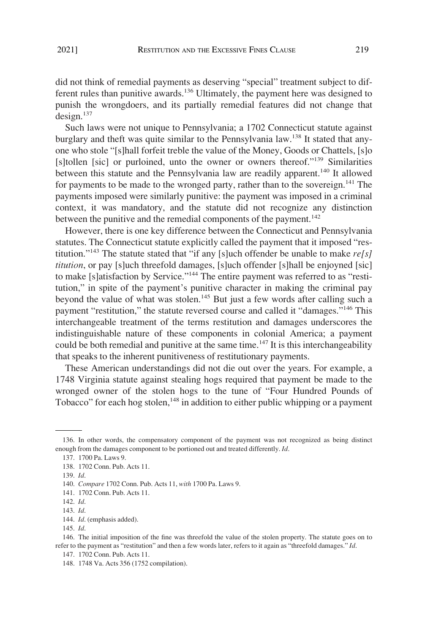did not think of remedial payments as deserving "special" treatment subject to different rules than punitive awards.<sup>136</sup> Ultimately, the payment here was designed to punish the wrongdoers, and its partially remedial features did not change that  $design.<sup>137</sup>$ 

Such laws were not unique to Pennsylvania; a 1702 Connecticut statute against burglary and theft was quite similar to the Pennsylvania law.<sup>138</sup> It stated that anyone who stole "[s]hall forfeit treble the value of the Money, Goods or Chattels, [s]o [s]tollen [sic] or purloined, unto the owner or owners thereof."139 Similarities between this statute and the Pennsylvania law are readily apparent.<sup>140</sup> It allowed for payments to be made to the wronged party, rather than to the sovereign.<sup>141</sup> The payments imposed were similarly punitive: the payment was imposed in a criminal context, it was mandatory, and the statute did not recognize any distinction between the punitive and the remedial components of the payment.<sup>142</sup>

However, there is one key difference between the Connecticut and Pennsylvania statutes. The Connecticut statute explicitly called the payment that it imposed "restitution."143 The statute stated that "if any [s]uch offender be unable to make *re[s] titution*, or pay [s]uch threefold damages, [s]uch offender [s]hall be enjoyned [sic] to make [s]atisfaction by Service."144 The entire payment was referred to as "restitution," in spite of the payment's punitive character in making the criminal pay beyond the value of what was stolen.145 But just a few words after calling such a payment "restitution," the statute reversed course and called it "damages."<sup>146</sup> This interchangeable treatment of the terms restitution and damages underscores the indistinguishable nature of these components in colonial America; a payment could be both remedial and punitive at the same time.<sup>147</sup> It is this interchangeability that speaks to the inherent punitiveness of restitutionary payments.

These American understandings did not die out over the years. For example, a 1748 Virginia statute against stealing hogs required that payment be made to the wronged owner of the stolen hogs to the tune of "Four Hundred Pounds of Tobacco" for each hog stolen,<sup>148</sup> in addition to either public whipping or a payment

<sup>136.</sup> In other words, the compensatory component of the payment was not recognized as being distinct enough from the damages component to be portioned out and treated differently. *Id*.

<sup>137. 1700</sup> Pa. Laws 9.

<sup>138. 1702</sup> Conn. Pub. Acts 11.

<sup>139.</sup> *Id*.

<sup>140.</sup> *Compare* 1702 Conn. Pub. Acts 11, *with* 1700 Pa. Laws 9.

<sup>141. 1702</sup> Conn. Pub. Acts 11.

<sup>142.</sup> *Id*.

<sup>143.</sup> *Id*.

<sup>144.</sup> *Id*. (emphasis added).

<sup>145.</sup> *Id*.

<sup>146.</sup> The initial imposition of the fine was threefold the value of the stolen property. The statute goes on to refer to the payment as "restitution" and then a few words later, refers to it again as "threefold damages." *Id*.

<sup>147. 1702</sup> Conn. Pub. Acts 11.

<sup>148. 1748</sup> Va. Acts 356 (1752 compilation).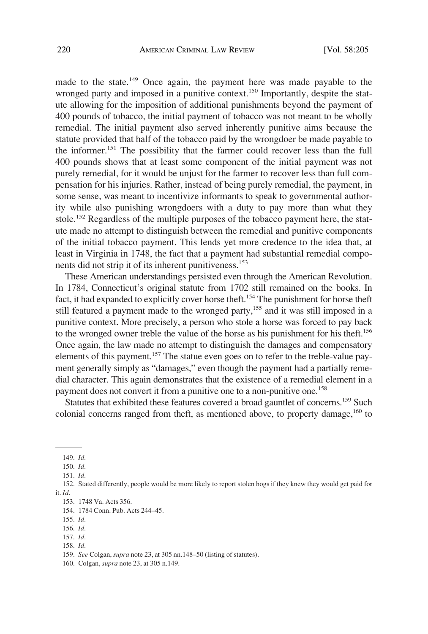made to the state.<sup>149</sup> Once again, the payment here was made payable to the wronged party and imposed in a punitive context.<sup>150</sup> Importantly, despite the statute allowing for the imposition of additional punishments beyond the payment of 400 pounds of tobacco, the initial payment of tobacco was not meant to be wholly remedial. The initial payment also served inherently punitive aims because the statute provided that half of the tobacco paid by the wrongdoer be made payable to the informer.151 The possibility that the farmer could recover less than the full 400 pounds shows that at least some component of the initial payment was not purely remedial, for it would be unjust for the farmer to recover less than full compensation for his injuries. Rather, instead of being purely remedial, the payment, in some sense, was meant to incentivize informants to speak to governmental authority while also punishing wrongdoers with a duty to pay more than what they stole.<sup>152</sup> Regardless of the multiple purposes of the tobacco payment here, the statute made no attempt to distinguish between the remedial and punitive components of the initial tobacco payment. This lends yet more credence to the idea that, at least in Virginia in 1748, the fact that a payment had substantial remedial components did not strip it of its inherent punitiveness.<sup>153</sup>

These American understandings persisted even through the American Revolution. In 1784, Connecticut's original statute from 1702 still remained on the books. In fact, it had expanded to explicitly cover horse theft.<sup>154</sup> The punishment for horse theft still featured a payment made to the wronged party,<sup>155</sup> and it was still imposed in a punitive context. More precisely, a person who stole a horse was forced to pay back to the wronged owner treble the value of the horse as his punishment for his theft.<sup>156</sup> Once again, the law made no attempt to distinguish the damages and compensatory elements of this payment.<sup>157</sup> The statue even goes on to refer to the treble-value payment generally simply as "damages," even though the payment had a partially remedial character. This again demonstrates that the existence of a remedial element in a payment does not convert it from a punitive one to a non-punitive one.<sup>158</sup>

Statutes that exhibited these features covered a broad gauntlet of concerns.159 Such colonial concerns ranged from theft, as mentioned above, to property damage,  $160$  to

- 156. *Id*.
- 157. *Id*. 158. *Id*.
- 

<sup>149.</sup> *Id*.

<sup>150.</sup> *Id*.

<sup>151.</sup> *Id*.

<sup>152.</sup> Stated differently, people would be more likely to report stolen hogs if they knew they would get paid for it. *Id*.

<sup>153. 1748</sup> Va. Acts 356.

<sup>154. 1784</sup> Conn. Pub. Acts 244–45.

<sup>155.</sup> *Id*.

<sup>159.</sup> *See* Colgan, *supra* note 23, at 305 nn.148–50 (listing of statutes).

<sup>160.</sup> Colgan, *supra* note 23, at 305 n.149.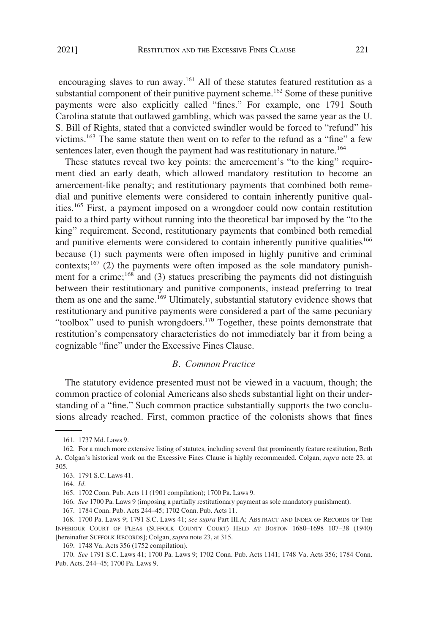<span id="page-16-0"></span>encouraging slaves to run away.<sup>161</sup> All of these statutes featured restitution as a substantial component of their punitive payment scheme.<sup>162</sup> Some of these punitive payments were also explicitly called "fines." For example, one 1791 South Carolina statute that outlawed gambling, which was passed the same year as the U. S. Bill of Rights, stated that a convicted swindler would be forced to "refund" his victims.163 The same statute then went on to refer to the refund as a "fine" a few sentences later, even though the payment had was restitutionary in nature.<sup>164</sup>

These statutes reveal two key points: the amercement's "to the king" requirement died an early death, which allowed mandatory restitution to become an amercement-like penalty; and restitutionary payments that combined both remedial and punitive elements were considered to contain inherently punitive qualities.165 First, a payment imposed on a wrongdoer could now contain restitution paid to a third party without running into the theoretical bar imposed by the "to the king" requirement. Second, restitutionary payments that combined both remedial and punitive elements were considered to contain inherently punitive qualities<sup>166</sup> because (1) such payments were often imposed in highly punitive and criminal contexts;<sup>167</sup> (2) the payments were often imposed as the sole mandatory punishment for a crime;<sup>168</sup> and (3) statues prescribing the payments did not distinguish between their restitutionary and punitive components, instead preferring to treat them as one and the same.<sup>169</sup> Ultimately, substantial statutory evidence shows that restitutionary and punitive payments were considered a part of the same pecuniary "toolbox" used to punish wrongdoers.<sup>170</sup> Together, these points demonstrate that restitution's compensatory characteristics do not immediately bar it from being a cognizable "fine" under the Excessive Fines Clause.

## *B. Common Practice*

The statutory evidence presented must not be viewed in a vacuum, though; the common practice of colonial Americans also sheds substantial light on their understanding of a "fine." Such common practice substantially supports the two conclusions already reached. First, common practice of the colonists shows that fines

166. *See* 1700 Pa. Laws 9 (imposing a partially restitutionary payment as sole mandatory punishment).

167. 1784 Conn. Pub. Acts 244–45; 1702 Conn. Pub. Acts 11.

168. 1700 Pa. Laws 9; 1791 S.C. Laws 41; *see supra* Part III.A; ABSTRACT AND INDEX OF RECORDS OF THE INFERIOUR COURT OF PLEAS (SUFFOLK COUNTY COURT) HELD AT BOSTON 1680–1698 107–38 (1940) [hereinafter SUFFOLK RECORDS]; Colgan, *supra* note 23, at 315.

169. 1748 Va. Acts 356 (1752 compilation).

170. *See* 1791 S.C. Laws 41; 1700 Pa. Laws 9; 1702 Conn. Pub. Acts 1141; 1748 Va. Acts 356; 1784 Conn. Pub. Acts. 244–45; 1700 Pa. Laws 9.

<sup>161. 1737</sup> Md. Laws 9.

<sup>162.</sup> For a much more extensive listing of statutes, including several that prominently feature restitution, Beth A. Colgan's historical work on the Excessive Fines Clause is highly recommended. Colgan, *supra* note 23, at 305.

<sup>163. 1791</sup> S.C. Laws 41.

<sup>164.</sup> *Id*.

<sup>165. 1702</sup> Conn. Pub. Acts 11 (1901 compilation); 1700 Pa. Laws 9.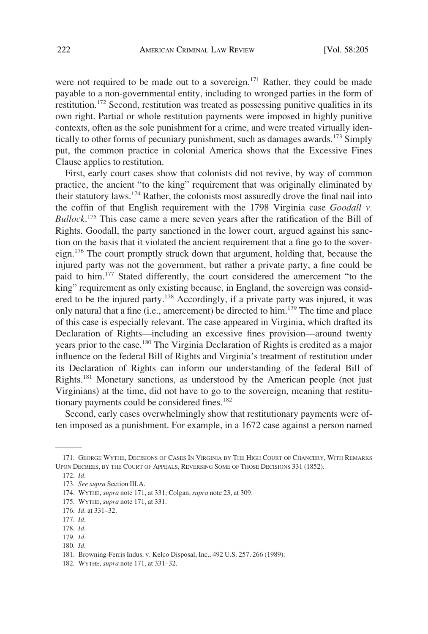were not required to be made out to a sovereign.<sup>171</sup> Rather, they could be made payable to a non-governmental entity, including to wronged parties in the form of restitution.172 Second, restitution was treated as possessing punitive qualities in its own right. Partial or whole restitution payments were imposed in highly punitive contexts, often as the sole punishment for a crime, and were treated virtually identically to other forms of pecuniary punishment, such as damages awards.<sup>173</sup> Simply put, the common practice in colonial America shows that the Excessive Fines Clause applies to restitution.

First, early court cases show that colonists did not revive, by way of common practice, the ancient "to the king" requirement that was originally eliminated by their statutory laws.174 Rather, the colonists most assuredly drove the final nail into the coffin of that English requirement with the 1798 Virginia case *Goodall v. Bullock*. 175 This case came a mere seven years after the ratification of the Bill of Rights. Goodall, the party sanctioned in the lower court, argued against his sanction on the basis that it violated the ancient requirement that a fine go to the sovereign.<sup>176</sup> The court promptly struck down that argument, holding that, because the injured party was not the government, but rather a private party, a fine could be paid to him.177 Stated differently, the court considered the amercement "to the king" requirement as only existing because, in England, the sovereign was considered to be the injured party.178 Accordingly, if a private party was injured, it was only natural that a fine (i.e., amercement) be directed to  $\lim_{n \to \infty} 1^{1/9}$  The time and place of this case is especially relevant. The case appeared in Virginia, which drafted its Declaration of Rights—including an excessive fines provision—around twenty years prior to the case.180 The Virginia Declaration of Rights is credited as a major influence on the federal Bill of Rights and Virginia's treatment of restitution under its Declaration of Rights can inform our understanding of the federal Bill of Rights.<sup>181</sup> Monetary sanctions, as understood by the American people (not just Virginians) at the time, did not have to go to the sovereign, meaning that restitutionary payments could be considered fines.<sup>182</sup>

Second, early cases overwhelmingly show that restitutionary payments were often imposed as a punishment. For example, in a 1672 case against a person named

175. WYTHE, *supra* note 171, at 331.

179. *Id*.

<sup>171.</sup> GEORGE WYTHE, DECISIONS OF CASES IN VIRGINIA BY THE HIGH COURT OF CHANCERY, WITH REMARKS UPON DECREES, BY THE COURT OF APPEALS, REVERSING SOME OF THOSE DECISIONS 331 (1852).

<sup>172.</sup> *Id*.

<sup>173.</sup> *See supra* Section III.A.

<sup>174.</sup> WYTHE, *supra* note 171, at 331; Colgan, *supra* note 23, at 309.

<sup>176.</sup> *Id*. at 331–32.

<sup>177.</sup> *Id*.

<sup>178.</sup> *Id*.

<sup>180.</sup> *Id*.

<sup>181.</sup> Browning-Ferris Indus. v. Kelco Disposal, Inc., 492 U.S. 257, 266 (1989).

<sup>182.</sup> WYTHE, *supra* note 171, at 331–32.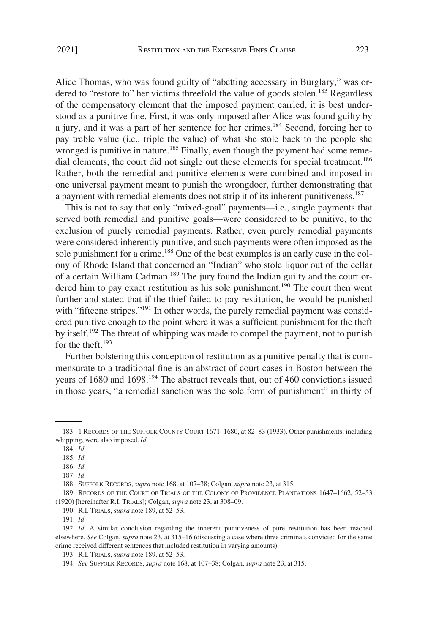Alice Thomas, who was found guilty of "abetting accessary in Burglary," was ordered to "restore to" her victims threefold the value of goods stolen.<sup>183</sup> Regardless of the compensatory element that the imposed payment carried, it is best understood as a punitive fine. First, it was only imposed after Alice was found guilty by a jury, and it was a part of her sentence for her crimes.184 Second, forcing her to pay treble value (i.e., triple the value) of what she stole back to the people she wronged is punitive in nature.<sup>185</sup> Finally, even though the payment had some remedial elements, the court did not single out these elements for special treatment.<sup>186</sup> Rather, both the remedial and punitive elements were combined and imposed in one universal payment meant to punish the wrongdoer, further demonstrating that a payment with remedial elements does not strip it of its inherent punitiveness.<sup>187</sup>

This is not to say that only "mixed-goal" payments—i.e., single payments that served both remedial and punitive goals—were considered to be punitive, to the exclusion of purely remedial payments. Rather, even purely remedial payments were considered inherently punitive, and such payments were often imposed as the sole punishment for a crime.<sup>188</sup> One of the best examples is an early case in the colony of Rhode Island that concerned an "Indian" who stole liquor out of the cellar of a certain William Cadman.<sup>189</sup> The jury found the Indian guilty and the court ordered him to pay exact restitution as his sole punishment.<sup>190</sup> The court then went further and stated that if the thief failed to pay restitution, he would be punished with "fifteene stripes."<sup>191</sup> In other words, the purely remedial payment was considered punitive enough to the point where it was a sufficient punishment for the theft by itself.192 The threat of whipping was made to compel the payment, not to punish for the theft. $193$ 

Further bolstering this conception of restitution as a punitive penalty that is commensurate to a traditional fine is an abstract of court cases in Boston between the years of 1680 and  $1698$ <sup>194</sup>. The abstract reveals that, out of 460 convictions issued in those years, "a remedial sanction was the sole form of punishment" in thirty of

<sup>183. 1</sup> RECORDS OF THE SUFFOLK COUNTY COURT 1671–1680, at 82–83 (1933). Other punishments, including whipping, were also imposed. *Id*.

<sup>184.</sup> *Id*.

<sup>185.</sup> *Id*.

<sup>186.</sup> *Id*.

<sup>187.</sup> *Id*.

<sup>188.</sup> SUFFOLK RECORDS, *supra* note 168, at 107–38; Colgan, *supra* note 23, at 315.

<sup>189.</sup> RECORDS OF THE COURT OF TRIALS OF THE COLONY OF PROVIDENCE PLANTATIONS 1647–1662, 52–53 (1920) [hereinafter R.I. TRIALS]; Colgan, *supra* note 23, at 308–09.

<sup>190.</sup> R.I. TRIALS, *supra* note 189, at 52–53.

<sup>191.</sup> *Id*.

<sup>192.</sup> *Id*. A similar conclusion regarding the inherent punitiveness of pure restitution has been reached elsewhere. *See* Colgan, *supra* note 23, at 315–16 (discussing a case where three criminals convicted for the same crime received different sentences that included restitution in varying amounts).

<sup>193.</sup> R.I. TRIALS, *supra* note 189, at 52–53.

<sup>194.</sup> *See* SUFFOLK RECORDS, *supra* note 168, at 107–38; Colgan, *supra* note 23, at 315.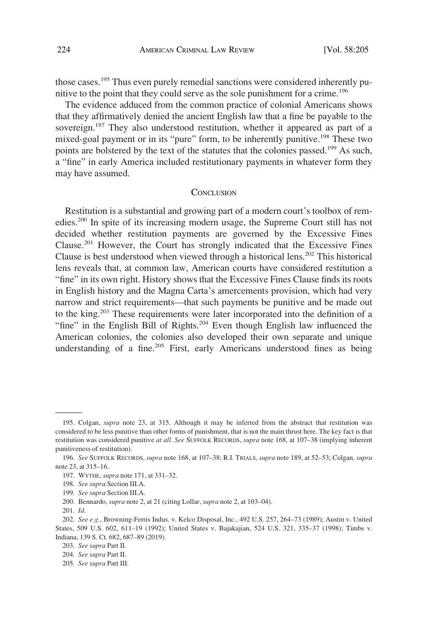<span id="page-19-0"></span>those cases.<sup>195</sup> Thus even purely remedial sanctions were considered inherently punitive to the point that they could serve as the sole punishment for a crime.<sup>196</sup>

The evidence adduced from the common practice of colonial Americans shows that they affirmatively denied the ancient English law that a fine be payable to the sovereign.<sup>197</sup> They also understood restitution, whether it appeared as part of a mixed-goal payment or in its "pure" form, to be inherently punitive.<sup>198</sup> These two points are bolstered by the text of the statutes that the colonies passed.<sup>199</sup> As such, a "fine" in early America included restitutionary payments in whatever form they may have assumed.

#### **CONCLUSION**

Restitution is a substantial and growing part of a modern court's toolbox of remedies.200 In spite of its increasing modern usage, the Supreme Court still has not decided whether restitution payments are governed by the Excessive Fines Clause.<sup>201</sup> However, the Court has strongly indicated that the Excessive Fines Clause is best understood when viewed through a historical lens.<sup>202</sup> This historical lens reveals that, at common law, American courts have considered restitution a "fine" in its own right. History shows that the Excessive Fines Clause finds its roots in English history and the Magna Carta's amercements provision, which had very narrow and strict requirements—that such payments be punitive and be made out to the king.203 These requirements were later incorporated into the definition of a "fine" in the English Bill of Rights.<sup>204</sup> Even though English law influenced the American colonies, the colonies also developed their own separate and unique understanding of a fine.<sup>205</sup> First, early Americans understood fines as being

<sup>195.</sup> Colgan, *supra* note 23, at 315. Although it may be inferred from the abstract that restitution was considered to be less punitive than other forms of punishment, that is not the main thrust here. The key fact is that restitution was considered punitive *at all*. *See* SUFFOLK RECORDS, *supra* note 168, at 107–38 (implying inherent punitiveness of restitution).

<sup>196.</sup> *See* SUFFOLK RECORDS, *supra* note 168, at 107–38; R.I. TRIALS, *supra* note 189, at 52–53; Colgan, *supra*  note 23, at 315–16.

<sup>197.</sup> WYTHE, *supra* note 171, at 331–32.

<sup>198.</sup> *See supra* Section III.A.

<sup>199.</sup> *See supra* Section III.A.

<sup>200.</sup> Bennardo, *supra* note 2, at 21 (citing Lollar, *supra* note 2, at 103–04).

<sup>201.</sup> *Id*.

<sup>202.</sup> *See e.g*., Browning-Ferris Indus. v. Kelco Disposal, Inc., 492 U.S. 257, 264–73 (1989); Austin v. United States, 509 U.S. 602, 611–19 (1992); United States v. Bajakajian, 524 U.S. 321, 335–37 (1998); Timbs v. Indiana, 139 S. Ct. 682, 687–89 (2019).

<sup>203.</sup> *See supra* Part II.

<sup>204.</sup> *See supra* Part II.

<sup>205.</sup> *See supra* Part III.